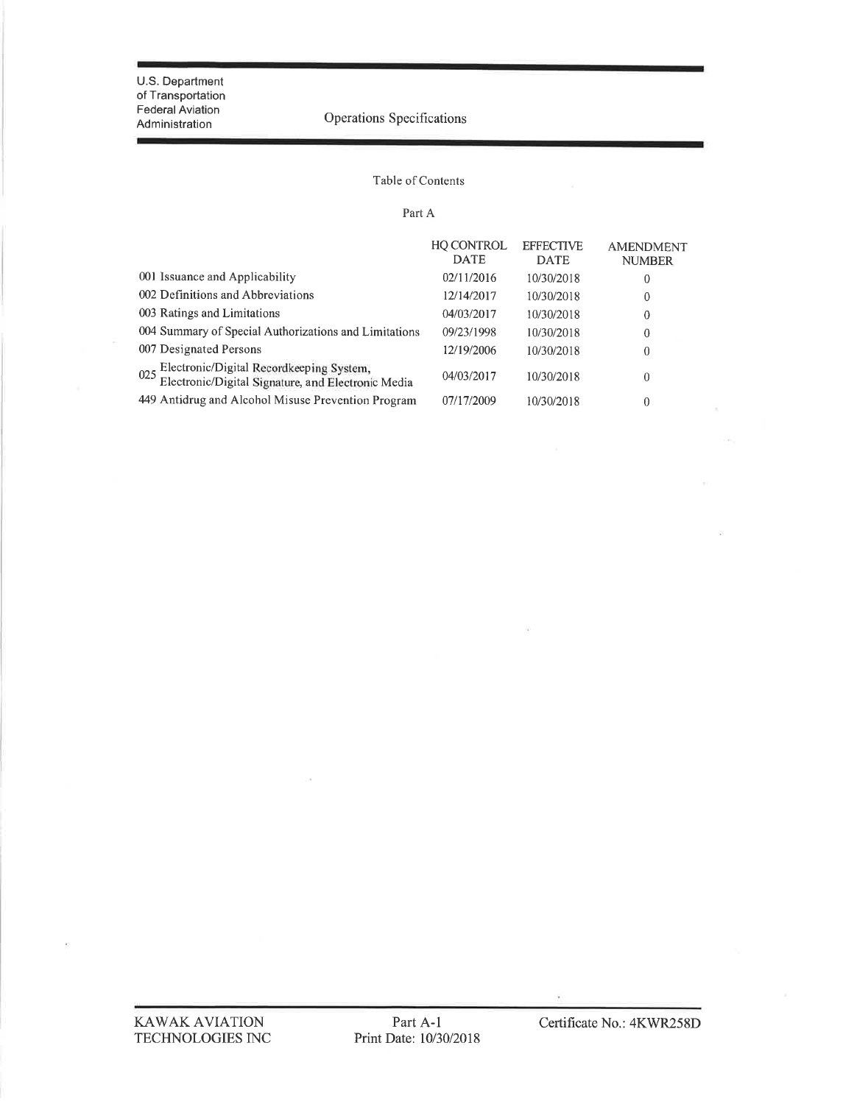#### Table of Contents

#### Part A

|                                                                                                    | <b>HQ CONTROL</b><br><b>DATE</b> | <b>EFFECTIVE</b><br><b>DATE</b> | <b>AMENDMENT</b><br><b>NUMBER</b> |
|----------------------------------------------------------------------------------------------------|----------------------------------|---------------------------------|-----------------------------------|
| 001 Issuance and Applicability                                                                     | 02/11/2016                       | 10/30/2018                      | 0                                 |
| 002 Definitions and Abbreviations                                                                  | 12/14/2017                       | 10/30/2018                      | 0                                 |
| 003 Ratings and Limitations                                                                        | 04/03/2017                       | 10/30/2018                      | 0                                 |
| 004 Summary of Special Authorizations and Limitations                                              | 09/23/1998                       | 10/30/2018                      | $\theta$                          |
| 007 Designated Persons                                                                             | 12/19/2006                       | 10/30/2018                      | 0                                 |
| 025 Electronic/Digital Recordkeeping System,<br>Electronic/Digital Signature, and Electronic Media | 04/03/2017                       | 10/30/2018                      | $\theta$                          |
| 449 Antidrug and Alcohol Misuse Prevention Program                                                 | 07/17/2009                       | 10/30/2018                      | $\theta$                          |

 $\bar{R}$ 

 $\overline{\mathcal{A}}$ 

 $\overline{\Sigma}$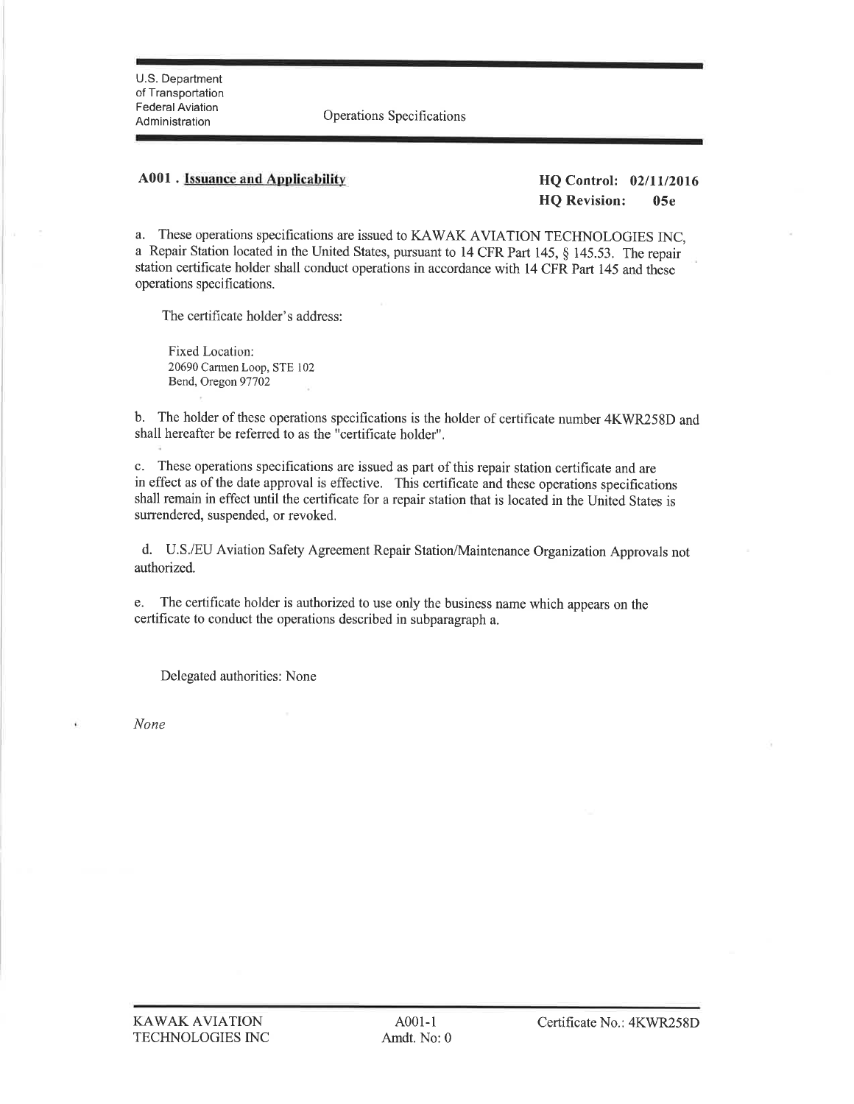U.S. Department of Transportation Federal Aviation

Administration Operations Speci fìcations

### A001 . Issuance and Applicability HQ Control: 02/11/2016

HQ Revision: 05e

a. These operations specifications are issued to KAWAK AVIATION TECHNOLOGIES INC, a Repair Station located in the United States, pursuant to 14 CFR Part 145, \$ 145.53. The repair station certiftcate holder shall conduct operations in accordance with 14 CFR Part 145 and these operations specifications.

The certificate holder's address:

Fixed Location: 20690 Carmen Loop, STE 102 Bend, Oregon 97702

b. The holder of these operations speciftcations is the holder of certificate number 4KWR258D and shall hereafter be refened to as the "certificate holder".

c. These operations specifications are issued as part of this repair station certificate and are in effect as of the date approval is effective. This certificate and these operations specifications shall remain in effect until the certificate for a repair station that is located in the United States is surrendered, suspended, or revoked.

d. U.S./EU Aviation Safety Agreement Repair Station/Maintenance Organization Approvals not authorized.

e. The certificate holder is authorized to use only the business name which appears on the certificate to conduct the operations described in subparagraph a.

Delegated authorities: None

None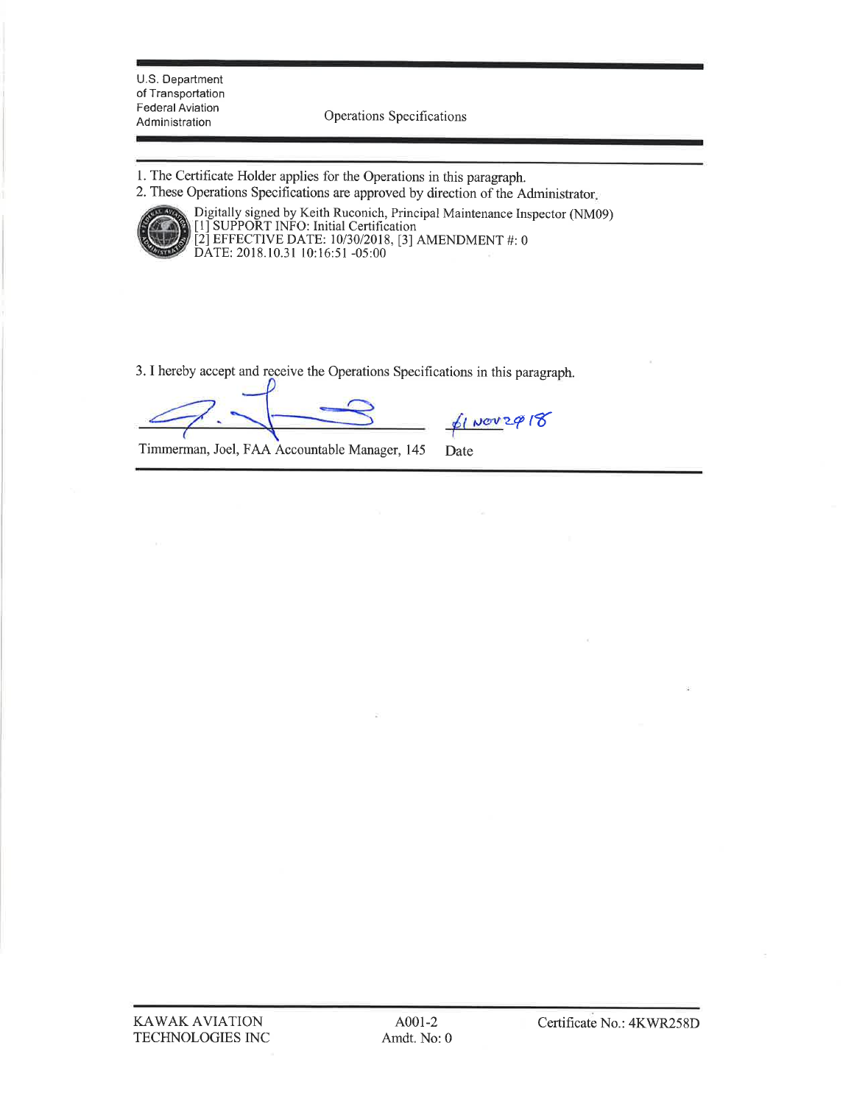U.S. Department of Transportation Federal Aviation

Operations Specifications

- 1. The Certificate Holder applies for the Operations in this paragraph.
- 2. These operations Specifications are approved by direction of the Administrator



Digitally signed by Keith Ruconich, Principal Maintenance Inspector (NM09)<br>[1] SUPPORT INFO: Initial Certification<br>[2] EFFECTIVE DATE: 10/30/2018, [3] AMENDMENT #: 0<br>DATE: 2018.10.31 10:16:51 -05:00 [1] SUPPORT INFO: Initial Certification [2] EFFECTIVE DATE: 1013012018, [3] AMENDMENT #: <sup>0</sup> DATE: 2018.10.31 l0:16:51 -05:00

3. I hereby accept and receive the Operations Specifications in this paragraph.

 $f$ 1 Nov 2 $\varphi$  18

Timmerman, Joel, FAA Accountable Manager, 145 Date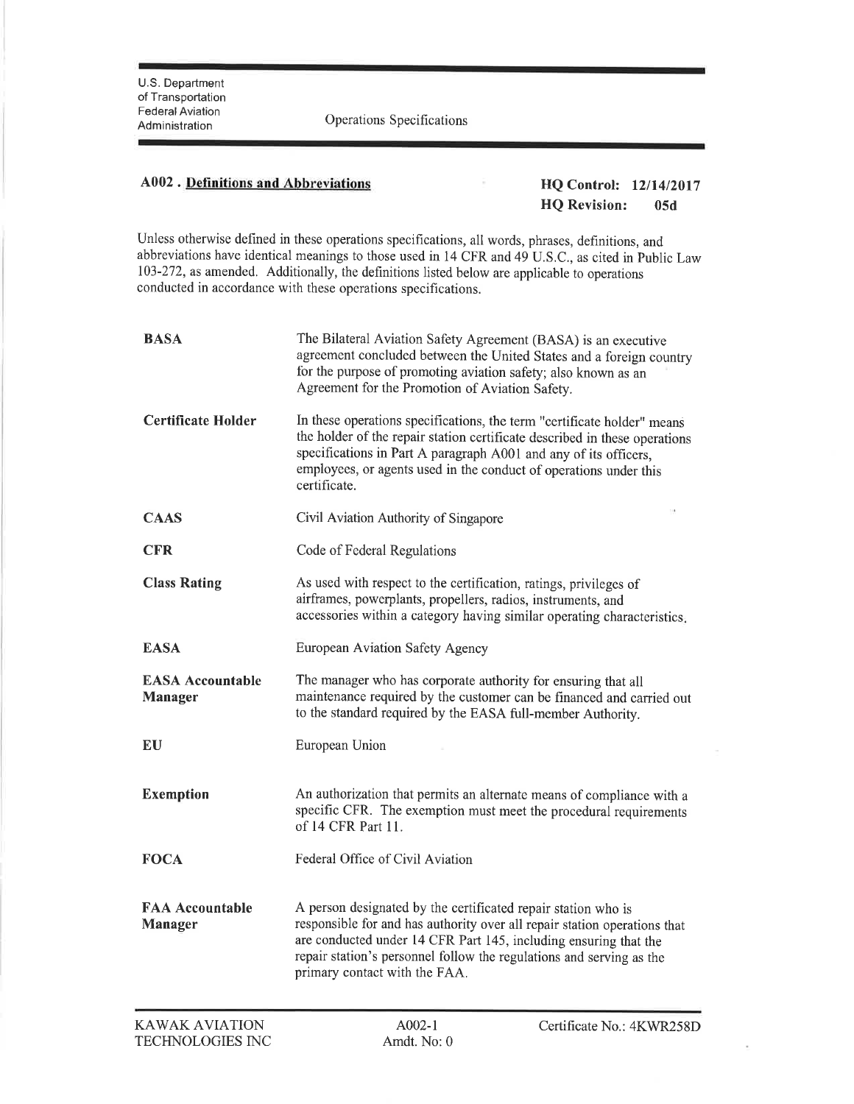## A002 . Definitions and Abbreviations And Abbreviations HQ Control: 12/14/2017

# HQ Revision: 05d

Unless otherwise defined in these operations specifications, all words, phrases, definitions, and abbreviations have identical meanings to those used in 14 CFR and 49 U.S.C., as cited in Public Law 103-272, as amended. Additionally, the defrnitions listed below are applicable to operations conducted in accordance with these operations specifications.

| <b>BASA</b>                               | The Bilateral Aviation Safety Agreement (BASA) is an executive<br>agreement concluded between the United States and a foreign country<br>for the purpose of promoting aviation safety; also known as an<br>Agreement for the Promotion of Aviation Safety.                                                              |
|-------------------------------------------|-------------------------------------------------------------------------------------------------------------------------------------------------------------------------------------------------------------------------------------------------------------------------------------------------------------------------|
| <b>Certificate Holder</b>                 | In these operations specifications, the term "certificate holder" means<br>the holder of the repair station certificate described in these operations<br>specifications in Part A paragraph A001 and any of its officers,<br>employees, or agents used in the conduct of operations under this<br>certificate.          |
| <b>CAAS</b>                               | Civil Aviation Authority of Singapore                                                                                                                                                                                                                                                                                   |
| <b>CFR</b>                                | Code of Federal Regulations                                                                                                                                                                                                                                                                                             |
| <b>Class Rating</b>                       | As used with respect to the certification, ratings, privileges of<br>airframes, powerplants, propellers, radios, instruments, and<br>accessories within a category having similar operating characteristics.                                                                                                            |
| <b>EASA</b>                               | European Aviation Safety Agency                                                                                                                                                                                                                                                                                         |
| <b>EASA Accountable</b><br><b>Manager</b> | The manager who has corporate authority for ensuring that all<br>maintenance required by the customer can be financed and carried out<br>to the standard required by the EASA full-member Authority.                                                                                                                    |
| EU                                        | European Union                                                                                                                                                                                                                                                                                                          |
| <b>Exemption</b>                          | An authorization that permits an alternate means of compliance with a<br>specific CFR. The exemption must meet the procedural requirements<br>of 14 CFR Part 11.                                                                                                                                                        |
| <b>FOCA</b>                               | Federal Office of Civil Aviation                                                                                                                                                                                                                                                                                        |
| <b>FAA Accountable</b><br><b>Manager</b>  | A person designated by the certificated repair station who is<br>responsible for and has authority over all repair station operations that<br>are conducted under 14 CFR Part 145, including ensuring that the<br>repair station's personnel follow the regulations and serving as the<br>primary contact with the FAA. |

ł,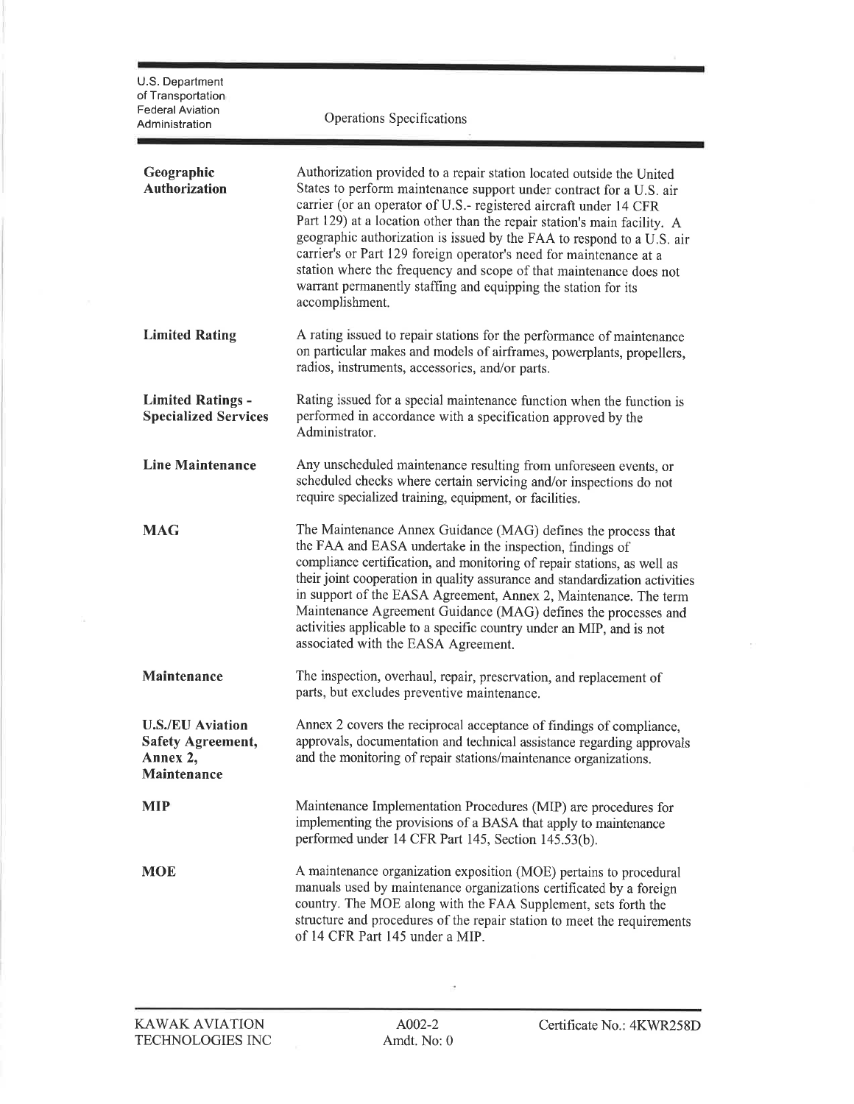| U.S. Department<br>of Transportation<br><b>Federal Aviation</b><br>Administration | Operations Specifications                                                                                                                                                                                                                                                                                                                                                                                                                                                                                                                                                                                |
|-----------------------------------------------------------------------------------|----------------------------------------------------------------------------------------------------------------------------------------------------------------------------------------------------------------------------------------------------------------------------------------------------------------------------------------------------------------------------------------------------------------------------------------------------------------------------------------------------------------------------------------------------------------------------------------------------------|
| Geographic<br><b>Authorization</b>                                                | Authorization provided to a repair station located outside the United<br>States to perform maintenance support under contract for a U.S. air<br>carrier (or an operator of U.S.- registered aircraft under 14 CFR<br>Part 129) at a location other than the repair station's main facility. A<br>geographic authorization is issued by the FAA to respond to a U.S. air<br>carrier's or Part 129 foreign operator's need for maintenance at a<br>station where the frequency and scope of that maintenance does not<br>warrant permanently staffing and equipping the station for its<br>accomplishment. |
| <b>Limited Rating</b>                                                             | A rating issued to repair stations for the performance of maintenance<br>on particular makes and models of airframes, powerplants, propellers,<br>radios, instruments, accessories, and/or parts.                                                                                                                                                                                                                                                                                                                                                                                                        |
| <b>Limited Ratings -</b><br><b>Specialized Services</b>                           | Rating issued for a special maintenance function when the function is<br>performed in accordance with a specification approved by the<br>Administrator.                                                                                                                                                                                                                                                                                                                                                                                                                                                  |
| <b>Line Maintenance</b>                                                           | Any unscheduled maintenance resulting from unforeseen events, or<br>scheduled checks where certain servicing and/or inspections do not<br>require specialized training, equipment, or facilities.                                                                                                                                                                                                                                                                                                                                                                                                        |
| <b>MAG</b>                                                                        | The Maintenance Annex Guidance (MAG) defines the process that<br>the FAA and EASA undertake in the inspection, findings of<br>compliance certification, and monitoring of repair stations, as well as<br>their joint cooperation in quality assurance and standardization activities<br>in support of the EASA Agreement, Annex 2, Maintenance. The term<br>Maintenance Agreement Guidance (MAG) defines the processes and<br>activities applicable to a specific country under an MIP, and is not<br>associated with the EASA Agreement.                                                                |
| Maintenance                                                                       | The inspection, overhaul, repair, preservation, and replacement of<br>parts, but excludes preventive maintenance.                                                                                                                                                                                                                                                                                                                                                                                                                                                                                        |
| <b>U.S./EU Aviation</b><br><b>Safety Agreement,</b><br>Annex 2,<br>Maintenance    | Annex 2 covers the reciprocal acceptance of findings of compliance,<br>approvals, documentation and technical assistance regarding approvals<br>and the monitoring of repair stations/maintenance organizations.                                                                                                                                                                                                                                                                                                                                                                                         |
| <b>MIP</b>                                                                        | Maintenance Implementation Procedures (MIP) are procedures for<br>implementing the provisions of a BASA that apply to maintenance<br>performed under 14 CFR Part 145, Section 145.53(b).                                                                                                                                                                                                                                                                                                                                                                                                                 |
| <b>MOE</b>                                                                        | A maintenance organization exposition (MOE) pertains to procedural<br>manuals used by maintenance organizations certificated by a foreign<br>country. The MOE along with the FAA Supplement, sets forth the<br>structure and procedures of the repair station to meet the requirements<br>of 14 CFR Part 145 under a MIP.                                                                                                                                                                                                                                                                                |

 $\mathbb{R}^{\bullet}$ 

 $\mathcal{A}$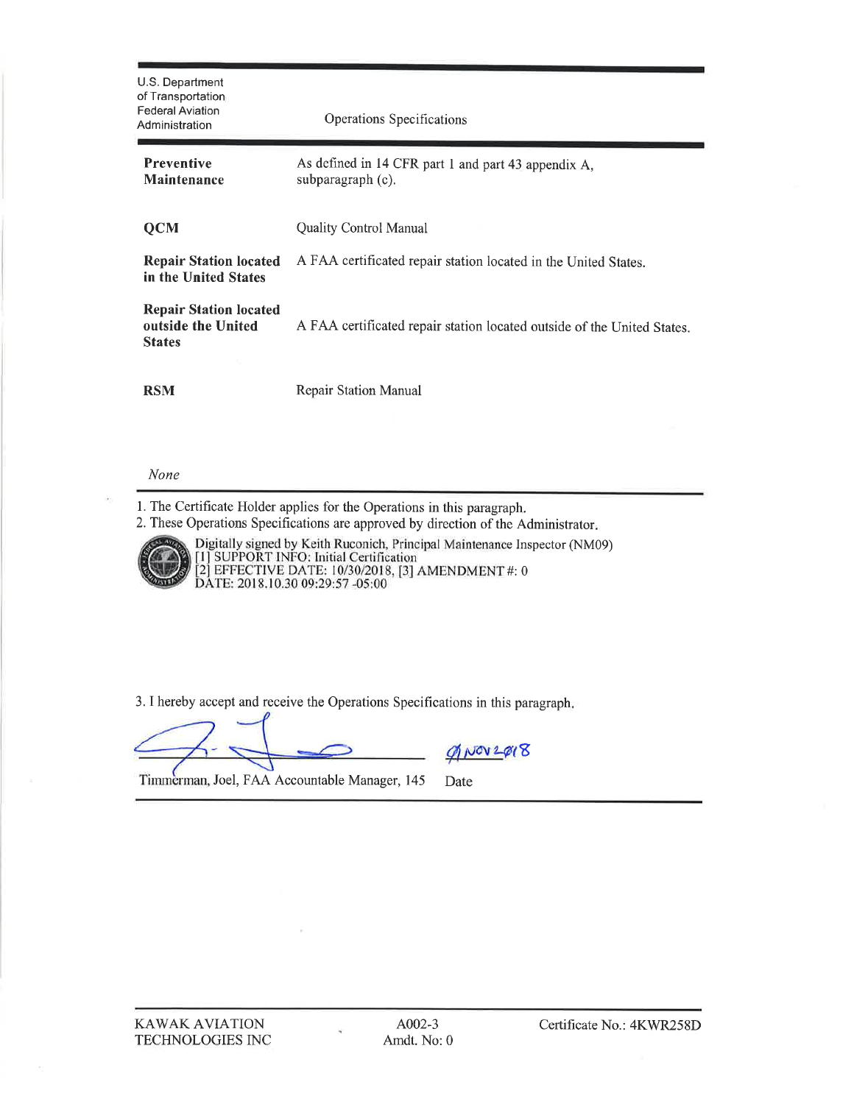| U.S. Department<br>of Transportation<br><b>Federal Aviation</b><br>Administration | Operations Specifications                                                |  |
|-----------------------------------------------------------------------------------|--------------------------------------------------------------------------|--|
| <b>Preventive</b><br><b>Maintenance</b>                                           | As defined in 14 CFR part 1 and part 43 appendix A,<br>subparagraph (c). |  |
| <b>QCM</b>                                                                        | <b>Quality Control Manual</b>                                            |  |
| <b>Repair Station located</b><br>in the United States                             | A FAA certificated repair station located in the United States.          |  |
| <b>Repair Station located</b><br>outside the United<br><b>States</b>              | A FAA certificated repair station located outside of the United States.  |  |
| <b>RSM</b>                                                                        | Repair Station Manual                                                    |  |

#### None

1. The Certificate Holder applies for the Operations in this paragraph.

2. These Operations Specifications are approved by direction of the Administrator.



Digitally signed by Keith Ruconich, Principal Maintenance Inspector (NM09)<br>[1] SUPPORT INFO: Initial Certification<br>[2] EFFECTIVE DATE: 10/30/2018, [3] AMENDMENT #: 0<br>DATE: 2018.10.30 09:29:57 -05:00

3. I hereby accept and receive the Operations Specifications in this paragraph.

 $Q'$ NOV2Q18

Timmerman, Joel, FAA Accountable Manager, 145 Date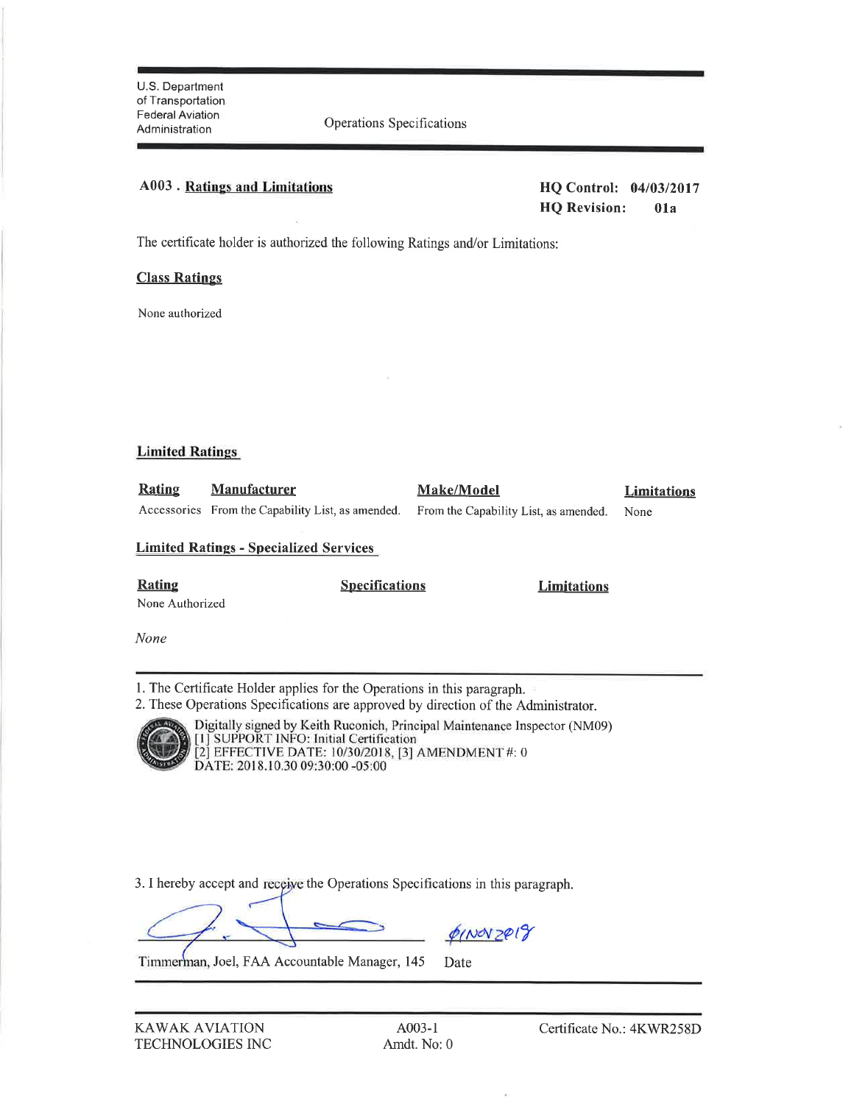### **A003** . Ratings and Limitations

HQ Control: 04/03/2017 **HQ Revision:**  $01a$ 

The certificate holder is authorized the following Ratings and/or Limitations:

#### **Class Ratings**

None authorized

#### **Limited Ratings**

| Rating | <b>Manufacturer</b> | <b>Make/Model</b>                                                                            | <b>Limitations</b> |
|--------|---------------------|----------------------------------------------------------------------------------------------|--------------------|
|        |                     | Accessories From the Capability List, as amended. From the Capability List, as amended. None |                    |

#### **Limited Ratings - Specialized Services**

**Rating** 

**Specifications** 

**Limitations** 

None Authorized

None

1. The Certificate Holder applies for the Operations in this paragraph.

2. These Operations Specifications are approved by direction of the Administrator.



Digitally signed by Keith Ruconich, Principal Maintenance Inspector (NM09)<br>[1] SUPPORT INFO: Initial Certification<br>[2] EFFECTIVE DATE: 10/30/2018, [3] AMENDMENT #: 0<br>DATE: 2018.10.30 09:30:00 -05:00

3. I hereby accept and receive the Operations Specifications in this paragraph.

QINOV 2019

Timmerman, Joel, FAA Accountable Manager, 145 Date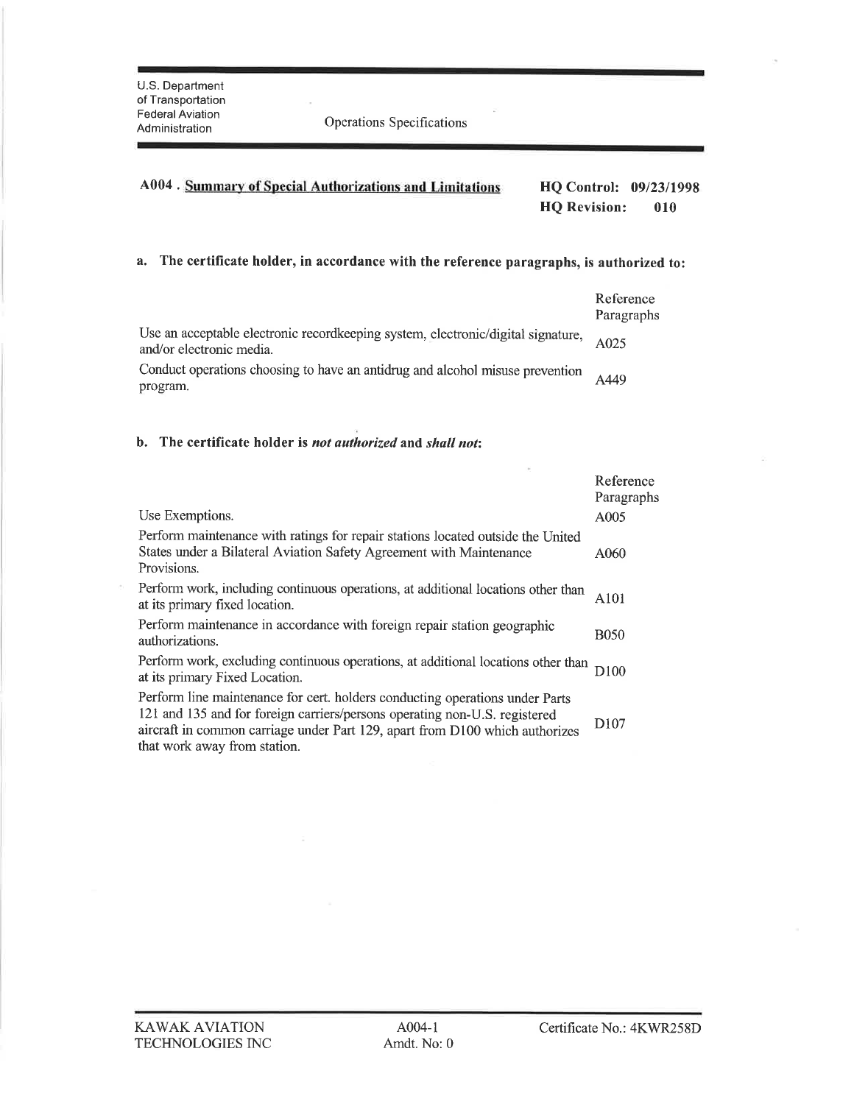Administration Operations Specihcations

## a. The certificate holder, in accordance with the reference paragraphs, is authorized to:

|                                                                                                              | Reference<br>Paragraphs |
|--------------------------------------------------------------------------------------------------------------|-------------------------|
| Use an acceptable electronic recordkeeping system, electronic/digital signature,<br>and/or electronic media. | A025                    |
| Conduct operations choosing to have an antidrug and alcohol misuse prevention<br>program.                    | A449                    |

#### b. The certificate holder is not authorized and shall not:

|                                                                                                                                                                                                                                                                            | Reference<br>Paragraphs |
|----------------------------------------------------------------------------------------------------------------------------------------------------------------------------------------------------------------------------------------------------------------------------|-------------------------|
| Use Exemptions.                                                                                                                                                                                                                                                            | A005                    |
| Perform maintenance with ratings for repair stations located outside the United<br>States under a Bilateral Aviation Safety Agreement with Maintenance<br>Provisions.                                                                                                      | A060                    |
| Perform work, including continuous operations, at additional locations other than<br>at its primary fixed location.                                                                                                                                                        | A <sub>101</sub>        |
| Perform maintenance in accordance with foreign repair station geographic<br>authorizations.                                                                                                                                                                                | <b>B050</b>             |
| Perform work, excluding continuous operations, at additional locations other than<br>at its primary Fixed Location.                                                                                                                                                        | D100                    |
| Perform line maintenance for cert. holders conducting operations under Parts<br>121 and 135 and for foreign carriers/persons operating non-U.S. registered<br>aircraft in common carriage under Part 129, apart from D100 which authorizes<br>that work away from station. | D <sub>107</sub>        |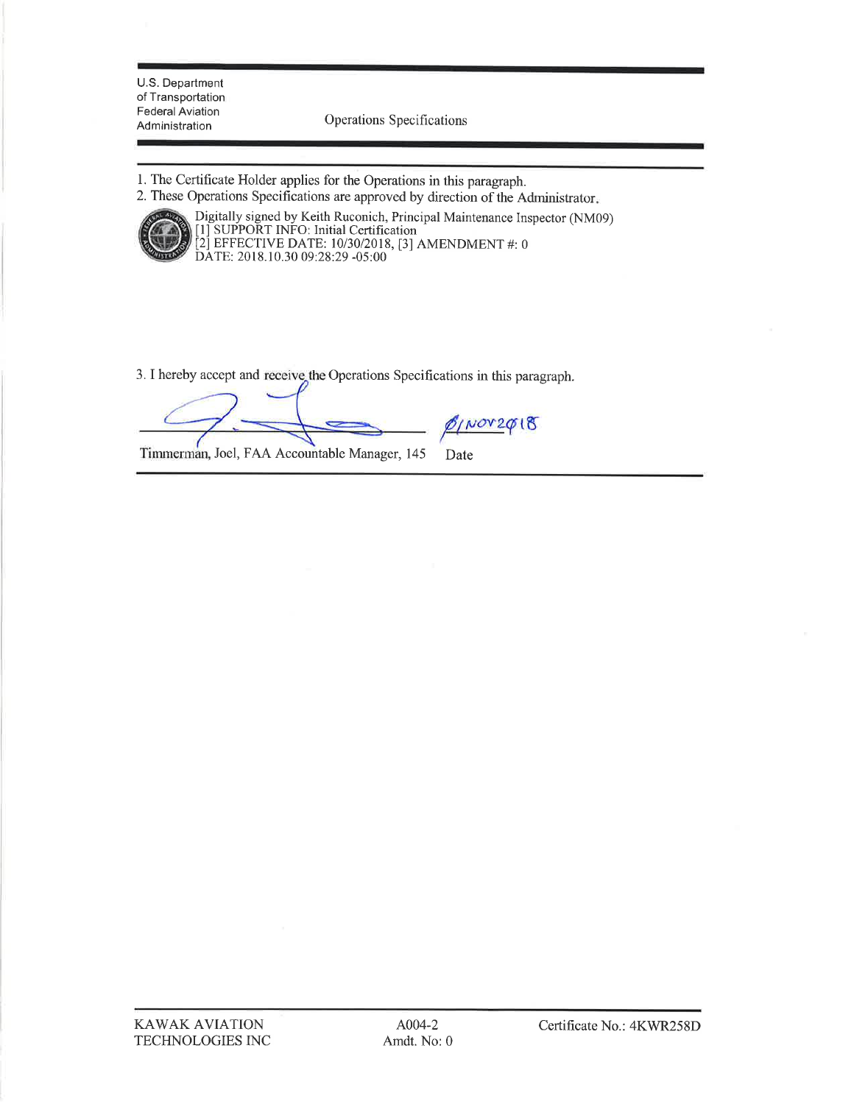U.S. Department of Transportation **Federal Aviation** Administration

Operations Specifications

- 1. The Certificate Holder applies for the Operations in this paragraph.
- 2. These Operations Specifications are approved by direction of the Administrator.



Digitally signed by Keith Ruconich, Principal Maintenance Inspector (NM09)<br>[1] SUPPORT INFO: Initial Certification<br>[2] EFFECTIVE DATE: 10/30/2018, [3] AMENDMENT #: 0<br>DATE: 2018.10.30 09:28:29 -05:00

3. I hereby accept and receive the Operations Specifications in this paragraph.

 $5/100020018$ 

Timmerman, Joel, FAA Accountable Manager, 145 Date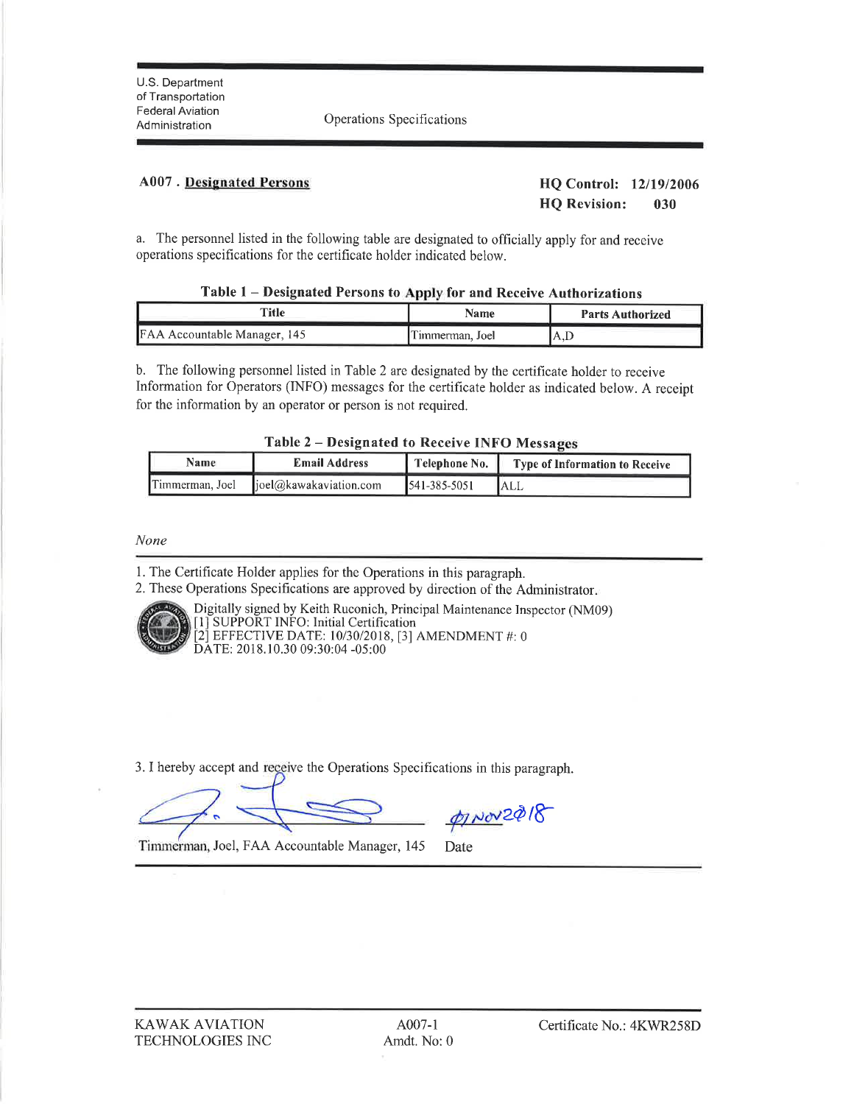Tederal Aviation<br>Administration Operations Specifications

#### 4007 . Designated Persons HQ Control: <sup>1211912006</sup>

HQ Revision: <sup>030</sup>

a. The personnel listed in the following table are designated to officially apply for and receive operations specifications for the certificate holder indicated below.

| Table 1 – Designated Persons to Apply for and Receive Authorizations |  |  |
|----------------------------------------------------------------------|--|--|
|                                                                      |  |  |

| Title                        | Name            | <b>Parts Authorized</b> |
|------------------------------|-----------------|-------------------------|
| FAA Accountable Manager, 145 | Timmerman, Joel | .A.F                    |

b. The following personnel listed in Table 2 are designated by the certificate holder to receive Information for Operators (INFO) messages for the certificate holder as indicated below. A receipt for the information by an operator or person is not required.

|  |  |  | Table 2 - Designated to Receive INFO Messages |
|--|--|--|-----------------------------------------------|
|  |  |  |                                               |

| Name            | <b>Email Address</b>        | Telephone No.      | <b>Type of Information to Receive</b> |
|-----------------|-----------------------------|--------------------|---------------------------------------|
| Timmerman, Joel | $\log(a)$ kawakaviation.com | $541 - 385 - 5051$ | <b>ALL</b>                            |

None

1. The Certificate Holder applies for the Operations in this paragraph.

2. These Operations Specifications are approved by direction of the Administrator



Digitally signed by Keith Ruconich, Principal Maintenance Inspector (NM09) [1] SUPPORT INFO: Initial Certification [2] EFFECTIVE DATE: 10/30/2018, [3] AMENDMENT #: <sup>0</sup> DATE: 2018.10.30 09:30:04 -05:00

3. I hereby accept and receive the Operations Specifications in this paragraph.

pinov2018

Timmerman, Joel, FAA Accountable Manager, 145 Date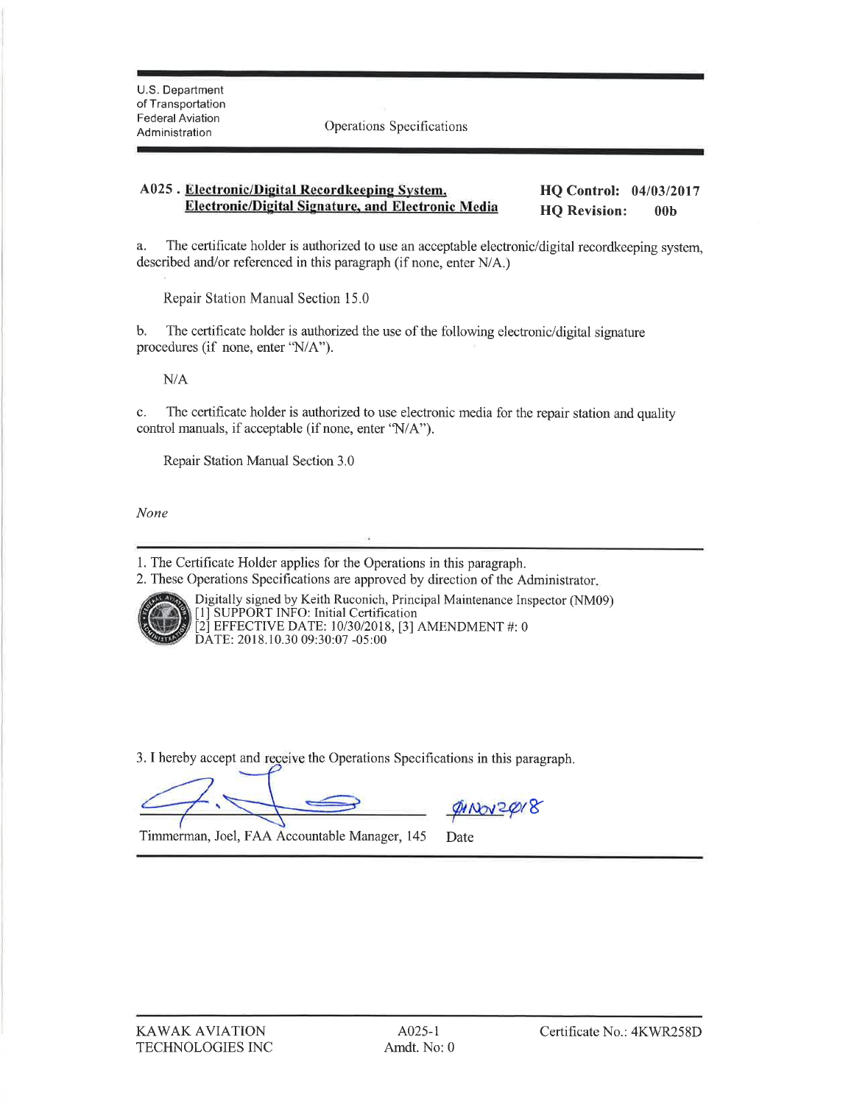Pederal Aviation<br>Administration Operations Specifications

#### A025 . Electronic/Digital Recordkeeping System, Electronic/Digital Signature, and Electronic Media HQ Control: 04/03/2017 HQ Revision: 00b

a. The certificate holder is authorized to use an acceptable electronic/digital recordkeeping system, described and/or referenced in this paragraph (if none, enter N/A.)

Repair Station Manual Section 15.0

b. The certificate holder is authorized the use of the following electronic/digital signature procedures (if none, enter 'N/A").

N/A

c. The certificate holder is authorized to use electronic media for the repair station and quality control manuals, if acceptable (if none, enter 'N/A'').

Repair Station Manual Section 3.0

None

l. The Certifrcate Holder applies for the Operations in this paragraph.

2. These Operations Specihcations are approved by direction of the Administrator



Digitally signed by Keith Ruconich, Principal Maintenance Inspector (NM09) [1] SUPPORT INFO: Initial Certification [2] EFFECTIVE DATE: 10/30/2018, [3] AMENDMENT #: 0<br>DATE: 2018.10.30 09:30:07 -05:00

3. I hereby accept and receive the Operations Specifications in this paragraph.

<u>divonzdor</u>

Timmerman, Joel, FAA Accountable Manager, 145 Date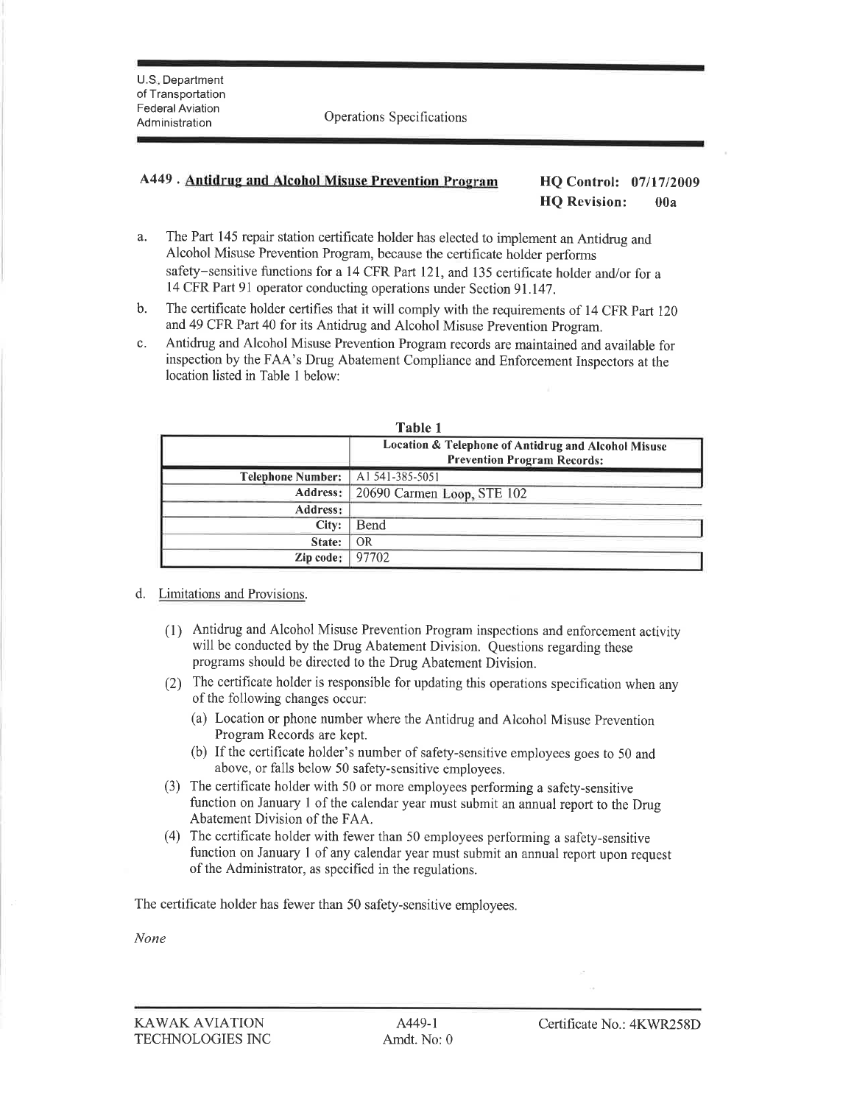#### A449 . Antidrug and Alcohol Misuse Prevention Program HQ Control: <sup>0711712009</sup>

# HQ Revision: 00a

- a. The Part 145 repair station certificate holder has elected to implement an Antidrug and Alcohol Misuse Prevention Program, because the certificate holder performs safety-sensitive functions for a 14 CFR Part 121, and 135 certificate holder and/or for a <sup>14</sup>CFR Part 9l operator conducting operations under Section 9l.l4j.
- b. The certificate holder certifies that it will comply with the requirements of 14 CFR Part <sup>120</sup> and 49 CFR Part 40 for its Antidrug and Alcohol Misuse prevention program.
- c. Antidrug and Alcohol Misuse Prevention Program records are maintained and available for inspection by the FAA's Drug Abatement Compliance and Enforcement Inspectors at the location listed in Table I below:

|                          | Table 1                                                                                   |
|--------------------------|-------------------------------------------------------------------------------------------|
|                          | Location & Telephone of Antidrug and Alcohol Misuse<br><b>Prevention Program Records:</b> |
| <b>Telephone Number:</b> | A1541-385-5051                                                                            |
| <b>Address:</b>          | 20690 Carmen Loop, STE 102                                                                |
| <b>Address:</b>          |                                                                                           |
| City:                    | Bend                                                                                      |
| State:                   | 0R                                                                                        |
| Zip code:                | 97702                                                                                     |

#### d. Limitations and Provisions.

- (l) Antidrug and Alcohol Misuse Prevention Program inspections and enforcement activity will be conducted by the Drug Abatement Division. Questions regarding these programs should be directed to the Drug Abatement Division.
- (2) The certificate holder is responsible for updating this operations specifrcation when any of the following changes occur:
	- (a) Location or phone number where the Antidrug and Alcohol Misuse Prevention Program Records are kept.
	- (b) If the certificate holder's number of safety-sensitive employees goes to 50 and above, or falls below 50 safety-sensitive employees.
- (3) The certificate holder with 50 or more employees performing a safety-sensitive function on January I of the calendar year must submit an annual report to the Drug Abatement Division of the FAA.
- (4) The certificate holder with fewer than 50 employees performing a safety-sensitive function on January 1 of any calendar year must submit an annual report upon request of the Administrator, as specified in the regulations.

The certificate holder has fewer than 50 safety-sensitive employees.

None